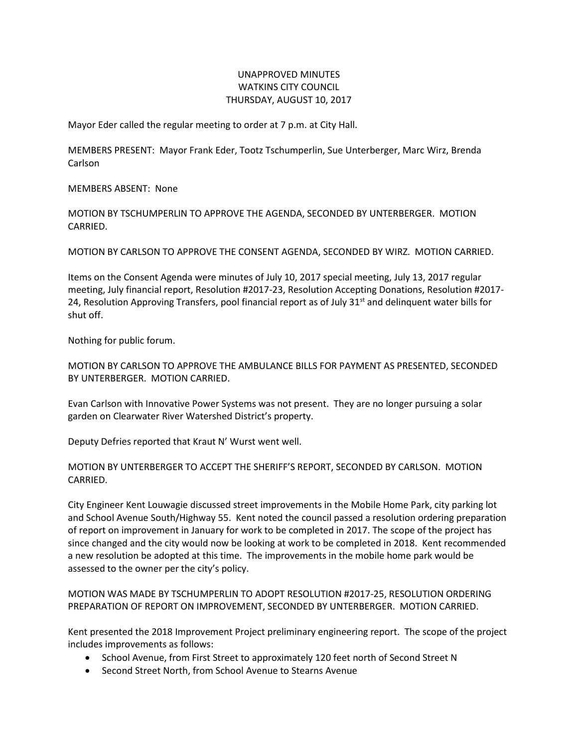## UNAPPROVED MINUTES WATKINS CITY COUNCIL THURSDAY, AUGUST 10, 2017

Mayor Eder called the regular meeting to order at 7 p.m. at City Hall.

MEMBERS PRESENT: Mayor Frank Eder, Tootz Tschumperlin, Sue Unterberger, Marc Wirz, Brenda Carlson

MEMBERS ABSENT: None

MOTION BY TSCHUMPERLIN TO APPROVE THE AGENDA, SECONDED BY UNTERBERGER. MOTION CARRIED.

MOTION BY CARLSON TO APPROVE THE CONSENT AGENDA, SECONDED BY WIRZ. MOTION CARRIED.

Items on the Consent Agenda were minutes of July 10, 2017 special meeting, July 13, 2017 regular meeting, July financial report, Resolution #2017-23, Resolution Accepting Donations, Resolution #2017- 24, Resolution Approving Transfers, pool financial report as of July  $31<sup>st</sup>$  and delinguent water bills for shut off.

Nothing for public forum.

MOTION BY CARLSON TO APPROVE THE AMBULANCE BILLS FOR PAYMENT AS PRESENTED, SECONDED BY UNTERBERGER. MOTION CARRIED.

Evan Carlson with Innovative Power Systems was not present. They are no longer pursuing a solar garden on Clearwater River Watershed District's property.

Deputy Defries reported that Kraut N' Wurst went well.

MOTION BY UNTERBERGER TO ACCEPT THE SHERIFF'S REPORT, SECONDED BY CARLSON. MOTION CARRIED.

City Engineer Kent Louwagie discussed street improvements in the Mobile Home Park, city parking lot and School Avenue South/Highway 55. Kent noted the council passed a resolution ordering preparation of report on improvement in January for work to be completed in 2017. The scope of the project has since changed and the city would now be looking at work to be completed in 2018. Kent recommended a new resolution be adopted at this time. The improvements in the mobile home park would be assessed to the owner per the city's policy.

MOTION WAS MADE BY TSCHUMPERLIN TO ADOPT RESOLUTION #2017-25, RESOLUTION ORDERING PREPARATION OF REPORT ON IMPROVEMENT, SECONDED BY UNTERBERGER. MOTION CARRIED.

Kent presented the 2018 Improvement Project preliminary engineering report. The scope of the project includes improvements as follows:

- School Avenue, from First Street to approximately 120 feet north of Second Street N
- Second Street North, from School Avenue to Stearns Avenue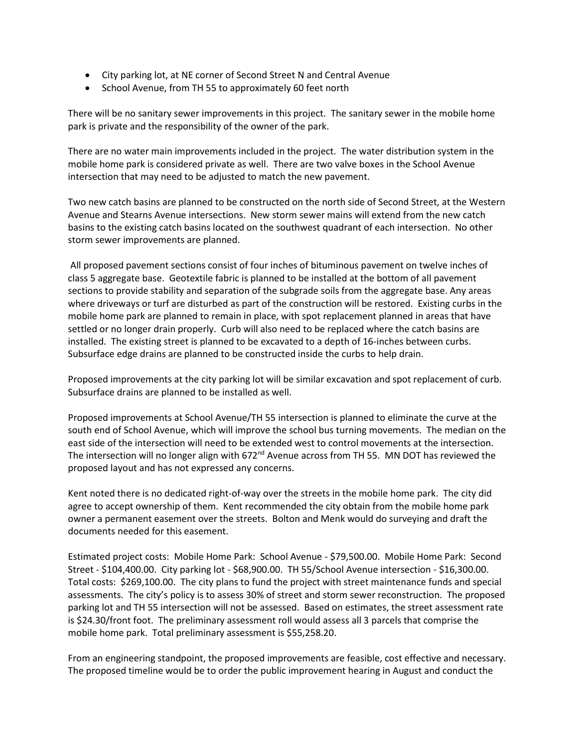- City parking lot, at NE corner of Second Street N and Central Avenue
- School Avenue, from TH 55 to approximately 60 feet north

There will be no sanitary sewer improvements in this project. The sanitary sewer in the mobile home park is private and the responsibility of the owner of the park.

There are no water main improvements included in the project. The water distribution system in the mobile home park is considered private as well. There are two valve boxes in the School Avenue intersection that may need to be adjusted to match the new pavement.

Two new catch basins are planned to be constructed on the north side of Second Street, at the Western Avenue and Stearns Avenue intersections. New storm sewer mains will extend from the new catch basins to the existing catch basins located on the southwest quadrant of each intersection. No other storm sewer improvements are planned.

All proposed pavement sections consist of four inches of bituminous pavement on twelve inches of class 5 aggregate base. Geotextile fabric is planned to be installed at the bottom of all pavement sections to provide stability and separation of the subgrade soils from the aggregate base. Any areas where driveways or turf are disturbed as part of the construction will be restored. Existing curbs in the mobile home park are planned to remain in place, with spot replacement planned in areas that have settled or no longer drain properly. Curb will also need to be replaced where the catch basins are installed. The existing street is planned to be excavated to a depth of 16-inches between curbs. Subsurface edge drains are planned to be constructed inside the curbs to help drain.

Proposed improvements at the city parking lot will be similar excavation and spot replacement of curb. Subsurface drains are planned to be installed as well.

Proposed improvements at School Avenue/TH 55 intersection is planned to eliminate the curve at the south end of School Avenue, which will improve the school bus turning movements. The median on the east side of the intersection will need to be extended west to control movements at the intersection. The intersection will no longer align with  $672<sup>nd</sup>$  Avenue across from TH 55. MN DOT has reviewed the proposed layout and has not expressed any concerns.

Kent noted there is no dedicated right-of-way over the streets in the mobile home park. The city did agree to accept ownership of them. Kent recommended the city obtain from the mobile home park owner a permanent easement over the streets. Bolton and Menk would do surveying and draft the documents needed for this easement.

Estimated project costs: Mobile Home Park: School Avenue - \$79,500.00. Mobile Home Park: Second Street - \$104,400.00. City parking lot - \$68,900.00. TH 55/School Avenue intersection - \$16,300.00. Total costs: \$269,100.00. The city plans to fund the project with street maintenance funds and special assessments. The city's policy is to assess 30% of street and storm sewer reconstruction. The proposed parking lot and TH 55 intersection will not be assessed. Based on estimates, the street assessment rate is \$24.30/front foot. The preliminary assessment roll would assess all 3 parcels that comprise the mobile home park. Total preliminary assessment is \$55,258.20.

From an engineering standpoint, the proposed improvements are feasible, cost effective and necessary. The proposed timeline would be to order the public improvement hearing in August and conduct the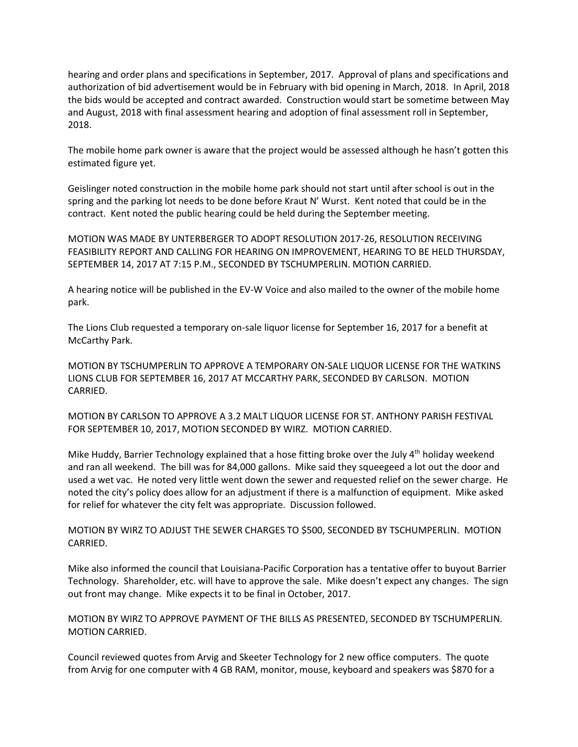hearing and order plans and specifications in September, 2017. Approval of plans and specifications and authorization of bid advertisement would be in February with bid opening in March, 2018. In April, 2018 the bids would be accepted and contract awarded. Construction would start be sometime between May and August, 2018 with final assessment hearing and adoption of final assessment roll in September, 2018.

The mobile home park owner is aware that the project would be assessed although he hasn't gotten this estimated figure yet.

Geislinger noted construction in the mobile home park should not start until after school is out in the spring and the parking lot needs to be done before Kraut N' Wurst. Kent noted that could be in the contract. Kent noted the public hearing could be held during the September meeting.

MOTION WAS MADE BY UNTERBERGER TO ADOPT RESOLUTION 2017-26, RESOLUTION RECEIVING FEASIBILITY REPORT AND CALLING FOR HEARING ON IMPROVEMENT, HEARING TO BE HELD THURSDAY, SEPTEMBER 14, 2017 AT 7:15 P.M., SECONDED BY TSCHUMPERLIN. MOTION CARRIED.

A hearing notice will be published in the EV-W Voice and also mailed to the owner of the mobile home park.

The Lions Club requested a temporary on-sale liquor license for September 16, 2017 for a benefit at McCarthy Park.

MOTION BY TSCHUMPERLIN TO APPROVE A TEMPORARY ON-SALE LIQUOR LICENSE FOR THE WATKINS LIONS CLUB FOR SEPTEMBER 16, 2017 AT MCCARTHY PARK, SECONDED BY CARLSON. MOTION CARRIED.

MOTION BY CARLSON TO APPROVE A 3.2 MALT LIQUOR LICENSE FOR ST. ANTHONY PARISH FESTIVAL FOR SEPTEMBER 10, 2017, MOTION SECONDED BY WIRZ. MOTION CARRIED.

Mike Huddy, Barrier Technology explained that a hose fitting broke over the July 4<sup>th</sup> holiday weekend and ran all weekend. The bill was for 84,000 gallons. Mike said they squeegeed a lot out the door and used a wet vac. He noted very little went down the sewer and requested relief on the sewer charge. He noted the city's policy does allow for an adjustment if there is a malfunction of equipment. Mike asked for relief for whatever the city felt was appropriate. Discussion followed.

MOTION BY WIRZ TO ADJUST THE SEWER CHARGES TO \$500, SECONDED BY TSCHUMPERLIN. MOTION CARRIED.

Mike also informed the council that Louisiana-Pacific Corporation has a tentative offer to buyout Barrier Technology. Shareholder, etc. will have to approve the sale. Mike doesn't expect any changes. The sign out front may change. Mike expects it to be final in October, 2017.

MOTION BY WIRZ TO APPROVE PAYMENT OF THE BILLS AS PRESENTED, SECONDED BY TSCHUMPERLIN. MOTION CARRIED.

Council reviewed quotes from Arvig and Skeeter Technology for 2 new office computers. The quote from Arvig for one computer with 4 GB RAM, monitor, mouse, keyboard and speakers was \$870 for a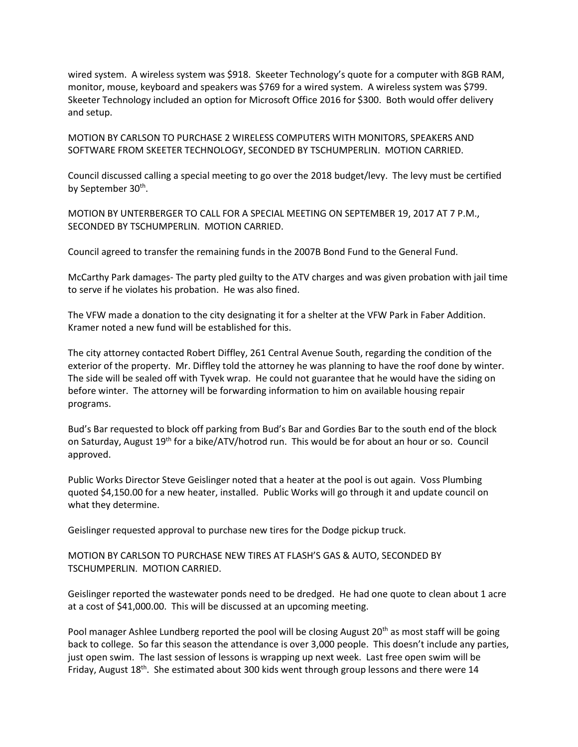wired system. A wireless system was \$918. Skeeter Technology's quote for a computer with 8GB RAM, monitor, mouse, keyboard and speakers was \$769 for a wired system. A wireless system was \$799. Skeeter Technology included an option for Microsoft Office 2016 for \$300. Both would offer delivery and setup.

MOTION BY CARLSON TO PURCHASE 2 WIRELESS COMPUTERS WITH MONITORS, SPEAKERS AND SOFTWARE FROM SKEETER TECHNOLOGY, SECONDED BY TSCHUMPERLIN. MOTION CARRIED.

Council discussed calling a special meeting to go over the 2018 budget/levy. The levy must be certified by September 30<sup>th</sup>.

MOTION BY UNTERBERGER TO CALL FOR A SPECIAL MEETING ON SEPTEMBER 19, 2017 AT 7 P.M., SECONDED BY TSCHUMPERLIN. MOTION CARRIED.

Council agreed to transfer the remaining funds in the 2007B Bond Fund to the General Fund.

McCarthy Park damages- The party pled guilty to the ATV charges and was given probation with jail time to serve if he violates his probation. He was also fined.

The VFW made a donation to the city designating it for a shelter at the VFW Park in Faber Addition. Kramer noted a new fund will be established for this.

The city attorney contacted Robert Diffley, 261 Central Avenue South, regarding the condition of the exterior of the property. Mr. Diffley told the attorney he was planning to have the roof done by winter. The side will be sealed off with Tyvek wrap. He could not guarantee that he would have the siding on before winter. The attorney will be forwarding information to him on available housing repair programs.

Bud's Bar requested to block off parking from Bud's Bar and Gordies Bar to the south end of the block on Saturday, August 19<sup>th</sup> for a bike/ATV/hotrod run. This would be for about an hour or so. Council approved.

Public Works Director Steve Geislinger noted that a heater at the pool is out again. Voss Plumbing quoted \$4,150.00 for a new heater, installed. Public Works will go through it and update council on what they determine.

Geislinger requested approval to purchase new tires for the Dodge pickup truck.

MOTION BY CARLSON TO PURCHASE NEW TIRES AT FLASH'S GAS & AUTO, SECONDED BY TSCHUMPERLIN. MOTION CARRIED.

Geislinger reported the wastewater ponds need to be dredged. He had one quote to clean about 1 acre at a cost of \$41,000.00. This will be discussed at an upcoming meeting.

Pool manager Ashlee Lundberg reported the pool will be closing August 20<sup>th</sup> as most staff will be going back to college. So far this season the attendance is over 3,000 people. This doesn't include any parties, just open swim. The last session of lessons is wrapping up next week. Last free open swim will be Friday, August  $18^{th}$ . She estimated about 300 kids went through group lessons and there were 14